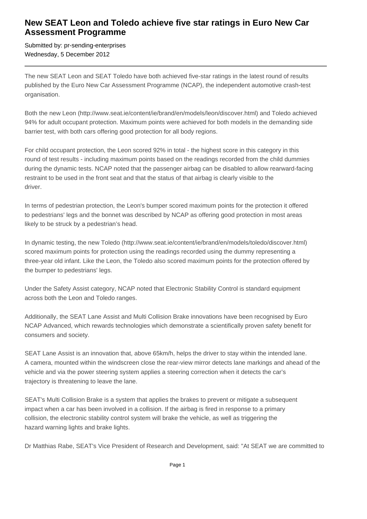## **New SEAT Leon and Toledo achieve five star ratings in Euro New Car Assessment Programme**

Submitted by: pr-sending-enterprises Wednesday, 5 December 2012

The new SEAT Leon and SEAT Toledo have both achieved five-star ratings in the latest round of results published by the Euro New Car Assessment Programme (NCAP), the independent automotive crash-test organisation.

Both the new Leon (http://www.seat.ie/content/ie/brand/en/models/leon/discover.html) and Toledo achieved 94% for adult occupant protection. Maximum points were achieved for both models in the demanding side barrier test, with both cars offering good protection for all body regions.

For child occupant protection, the Leon scored 92% in total - the highest score in this category in this round of test results - including maximum points based on the readings recorded from the child dummies during the dynamic tests. NCAP noted that the passenger airbag can be disabled to allow rearward-facing restraint to be used in the front seat and that the status of that airbag is clearly visible to the driver.

In terms of pedestrian protection, the Leon's bumper scored maximum points for the protection it offered to pedestrians' legs and the bonnet was described by NCAP as offering good protection in most areas likely to be struck by a pedestrian's head.

In dynamic testing, the new Toledo (http://www.seat.ie/content/ie/brand/en/models/toledo/discover.html) scored maximum points for protection using the readings recorded using the dummy representing a three-year old infant. Like the Leon, the Toledo also scored maximum points for the protection offered by the bumper to pedestrians' legs.

Under the Safety Assist category, NCAP noted that Electronic Stability Control is standard equipment across both the Leon and Toledo ranges.

Additionally, the SEAT Lane Assist and Multi Collision Brake innovations have been recognised by Euro NCAP Advanced, which rewards technologies which demonstrate a scientifically proven safety benefit for consumers and society.

SEAT Lane Assist is an innovation that, above 65km/h, helps the driver to stay within the intended lane. A camera, mounted within the windscreen close the rear-view mirror detects lane markings and ahead of the vehicle and via the power steering system applies a steering correction when it detects the car's trajectory is threatening to leave the lane.

SEAT's Multi Collision Brake is a system that applies the brakes to prevent or mitigate a subsequent impact when a car has been involved in a collision. If the airbag is fired in response to a primary collision, the electronic stability control system will brake the vehicle, as well as triggering the hazard warning lights and brake lights.

Dr Matthias Rabe, SEAT's Vice President of Research and Development, said: "At SEAT we are committed to